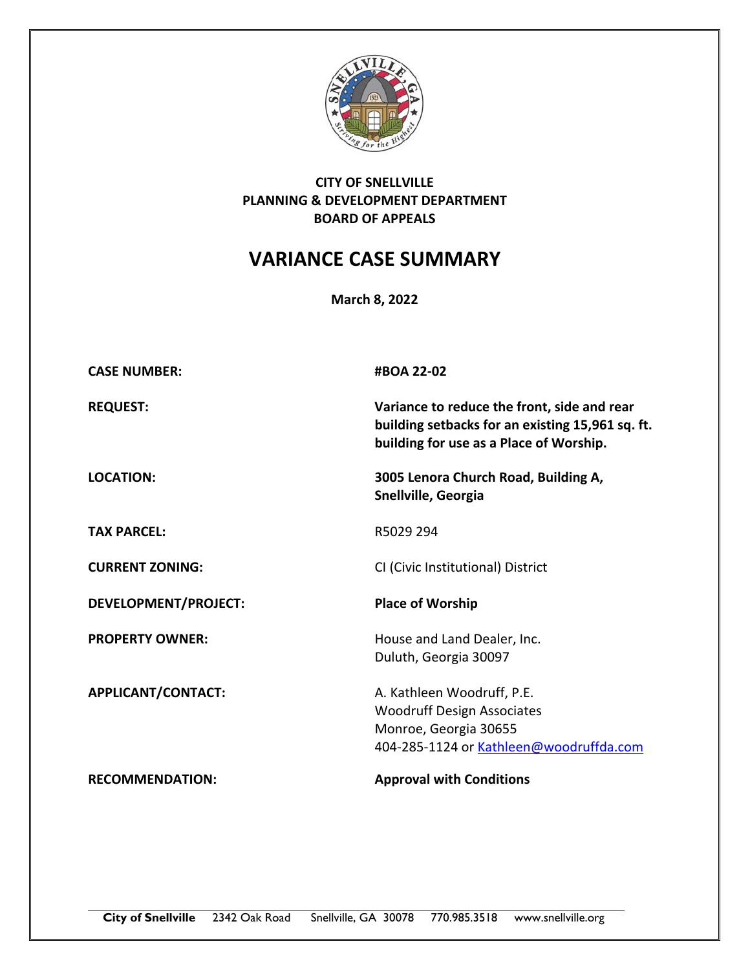

## **CITY OF SNELLVILLE PLANNING & DEVELOPMENT DEPARTMENT BOARD OF APPEALS**

## **VARIANCE CASE SUMMARY**

**March 8, 2022**

| <b>CASE NUMBER:</b>         | #BOA 22-02                                                                                                                                 |
|-----------------------------|--------------------------------------------------------------------------------------------------------------------------------------------|
| <b>REQUEST:</b>             | Variance to reduce the front, side and rear<br>building setbacks for an existing 15,961 sq. ft.<br>building for use as a Place of Worship. |
| <b>LOCATION:</b>            | 3005 Lenora Church Road, Building A,<br>Snellville, Georgia                                                                                |
| <b>TAX PARCEL:</b>          | R5029 294                                                                                                                                  |
| <b>CURRENT ZONING:</b>      | CI (Civic Institutional) District                                                                                                          |
| <b>DEVELOPMENT/PROJECT:</b> | <b>Place of Worship</b>                                                                                                                    |
| <b>PROPERTY OWNER:</b>      | House and Land Dealer, Inc.<br>Duluth, Georgia 30097                                                                                       |
| APPLICANT/CONTACT:          | A. Kathleen Woodruff, P.E.<br><b>Woodruff Design Associates</b><br>Monroe, Georgia 30655<br>404-285-1124 or Kathleen@woodruffda.com        |
| <b>RECOMMENDATION:</b>      | <b>Approval with Conditions</b>                                                                                                            |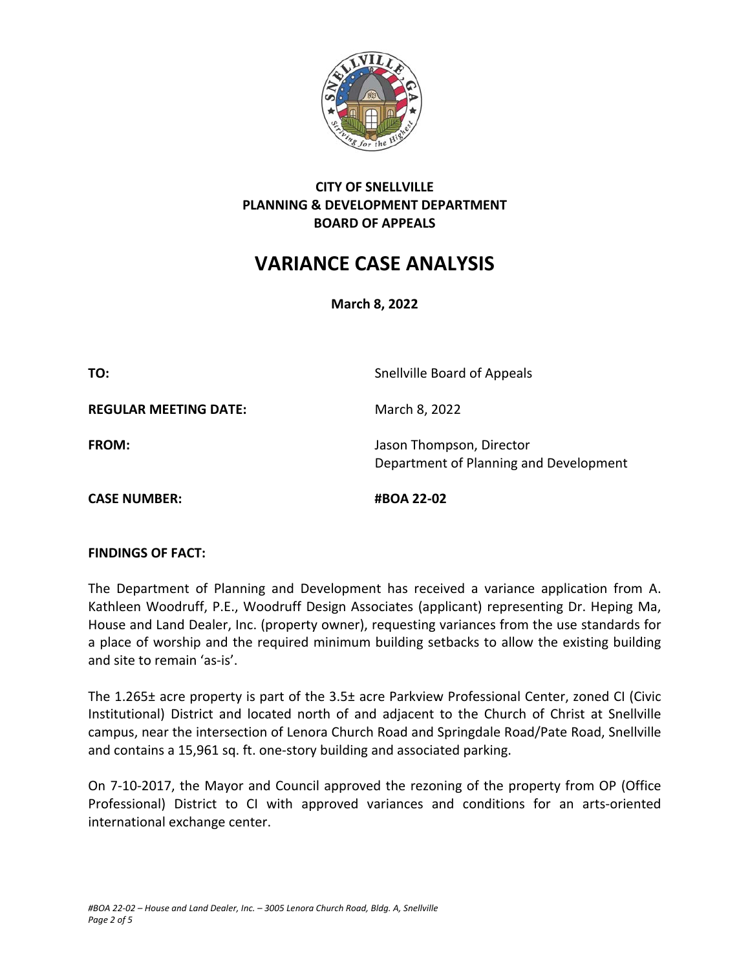

## **CITY OF SNELLVILLE PLANNING & DEVELOPMENT DEPARTMENT BOARD OF APPEALS**

# **VARIANCE CASE ANALYSIS**

**March 8, 2022**

**TO:** Snellville Board of Appeals

**REGULAR MEETING DATE:** March 8, 2022

**FROM: In the U.S. Islaming Contract of the U.S. Property Contract Department of the U.S. Property Contract Department of the U.S. Property C. A. Islaming C. A. Islaming C. A. Islaming C. A. Islaming C. A. Islaming C. A.** Department of Planning and Development

**CASE NUMBER: #BOA 22‐02**

## **FINDINGS OF FACT:**

The Department of Planning and Development has received a variance application from A. Kathleen Woodruff, P.E., Woodruff Design Associates (applicant) representing Dr. Heping Ma, House and Land Dealer, Inc. (property owner), requesting variances from the use standards for a place of worship and the required minimum building setbacks to allow the existing building and site to remain 'as‐is'.

The 1.265± acre property is part of the 3.5± acre Parkview Professional Center, zoned CI (Civic Institutional) District and located north of and adjacent to the Church of Christ at Snellville campus, near the intersection of Lenora Church Road and Springdale Road/Pate Road, Snellville and contains a 15,961 sq. ft. one‐story building and associated parking.

On 7-10-2017, the Mayor and Council approved the rezoning of the property from OP (Office Professional) District to CI with approved variances and conditions for an arts‐oriented international exchange center.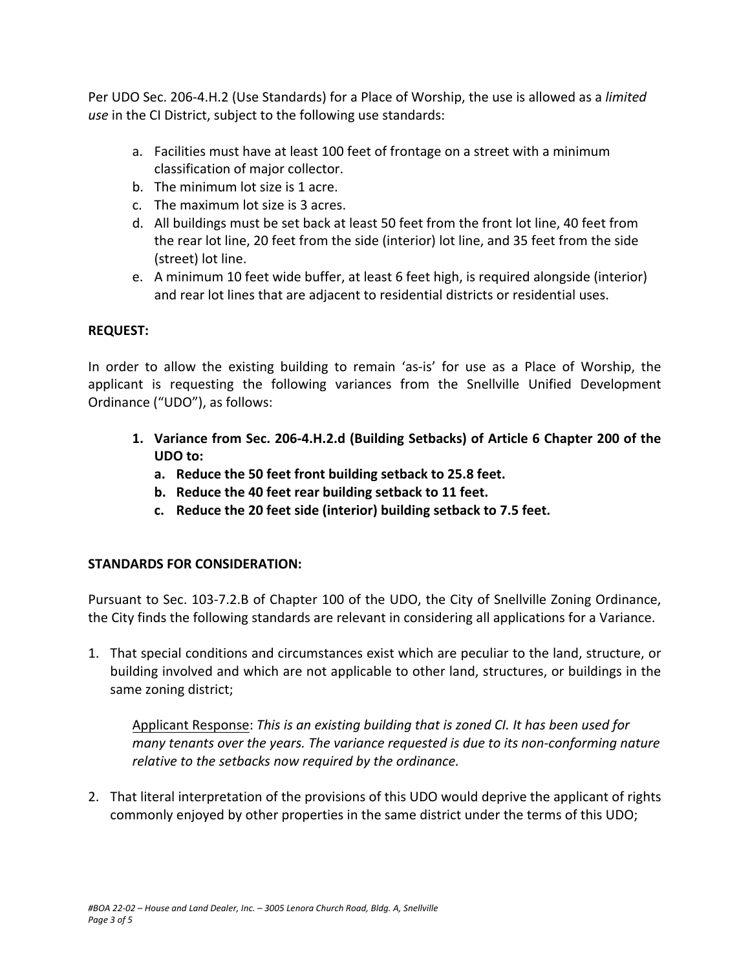Per UDO Sec. 206‐4.H.2 (Use Standards) for a Place of Worship, the use is allowed as a *limited use* in the CI District, subject to the following use standards:

- a. Facilities must have at least 100 feet of frontage on a street with a minimum classification of major collector.
- b. The minimum lot size is 1 acre.
- c. The maximum lot size is 3 acres.
- d. All buildings must be set back at least 50 feet from the front lot line, 40 feet from the rear lot line, 20 feet from the side (interior) lot line, and 35 feet from the side (street) lot line.
- e. A minimum 10 feet wide buffer, at least 6 feet high, is required alongside (interior) and rear lot lines that are adjacent to residential districts or residential uses.

## **REQUEST:**

In order to allow the existing building to remain 'as-is' for use as a Place of Worship, the applicant is requesting the following variances from the Snellville Unified Development Ordinance ("UDO"), as follows:

- **1. Variance from Sec. 206‐4.H.2.d (Building Setbacks) of Article 6 Chapter 200 of the UDO to:** 
	- **a. Reduce the 50 feet front building setback to 25.8 feet.**
	- **b. Reduce the 40 feet rear building setback to 11 feet.**
	- **c. Reduce the 20 feet side (interior) building setback to 7.5 feet.**

## **STANDARDS FOR CONSIDERATION:**

Pursuant to Sec. 103‐7.2.B of Chapter 100 of the UDO, the City of Snellville Zoning Ordinance, the City finds the following standards are relevant in considering all applications for a Variance.

1. That special conditions and circumstances exist which are peculiar to the land, structure, or building involved and which are not applicable to other land, structures, or buildings in the same zoning district;

Applicant Response: *This is an existing building that is zoned CI. It has been used for many tenants over the years. The variance requested is due to its non‐conforming nature relative to the setbacks now required by the ordinance.* 

2. That literal interpretation of the provisions of this UDO would deprive the applicant of rights commonly enjoyed by other properties in the same district under the terms of this UDO;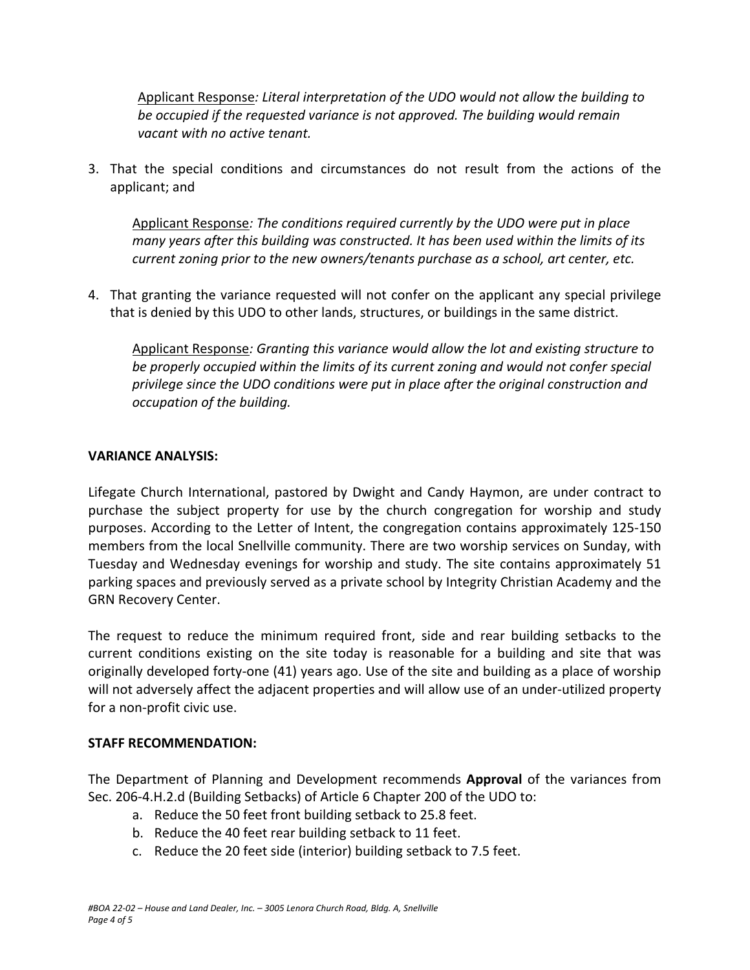Applicant Response*: Literal interpretation of the UDO would not allow the building to be occupied if the requested variance is not approved. The building would remain vacant with no active tenant.* 

3. That the special conditions and circumstances do not result from the actions of the applicant; and

Applicant Response*: The conditions required currently by the UDO were put in place many years after this building was constructed. It has been used within the limits of its current zoning prior to the new owners/tenants purchase as a school, art center, etc.* 

4. That granting the variance requested will not confer on the applicant any special privilege that is denied by this UDO to other lands, structures, or buildings in the same district.

Applicant Response*: Granting this variance would allow the lot and existing structure to be properly occupied within the limits of its current zoning and would not confer special privilege since the UDO conditions were put in place after the original construction and occupation of the building.* 

#### **VARIANCE ANALYSIS:**

Lifegate Church International, pastored by Dwight and Candy Haymon, are under contract to purchase the subject property for use by the church congregation for worship and study purposes. According to the Letter of Intent, the congregation contains approximately 125‐150 members from the local Snellville community. There are two worship services on Sunday, with Tuesday and Wednesday evenings for worship and study. The site contains approximately 51 parking spaces and previously served as a private school by Integrity Christian Academy and the GRN Recovery Center.

The request to reduce the minimum required front, side and rear building setbacks to the current conditions existing on the site today is reasonable for a building and site that was originally developed forty‐one (41) years ago. Use of the site and building as a place of worship will not adversely affect the adjacent properties and will allow use of an under-utilized property for a non‐profit civic use.

## **STAFF RECOMMENDATION:**

The Department of Planning and Development recommends **Approval**  of the variances from Sec. 206‐4.H.2.d (Building Setbacks) of Article 6 Chapter 200 of the UDO to:

- a. Reduce the 50 feet front building setback to 25.8 feet.
- b. Reduce the 40 feet rear building setback to 11 feet.
- c. Reduce the 20 feet side (interior) building setback to 7.5 feet.